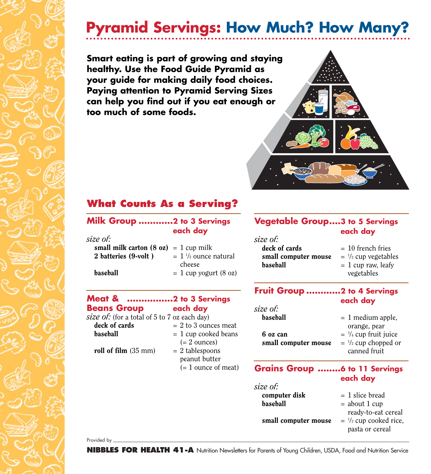# **Pyramid Servings: How Much? How Many?**

**Smart eating is part of growing and staying healthy. Use the Food Guide Pyramid as your guide for making daily food choices. Paying attention to Pyramid Serving Sizes can help you find out if you eat enough or too much of some foods.**



## **What Counts As a Serving?**

#### **Milk Group ............2 to 3 Servings each day**

| size of:                                        |                                 |
|-------------------------------------------------|---------------------------------|
| small milk carton $(8 \text{ oz}) = 1$ cup milk |                                 |
| 2 batteries (9-volt)                            | $= 1 \frac{1}{2}$ ounce natural |
|                                                 | cheese                          |
| <b>baseball</b>                                 | $= 1$ cup yogurt (8 oz)         |

### **Meat & ................2 to 3 Servings Beans Group each day**

*size of:* (for a total of 5 to 7 oz each day)

deck of cards  $= 2$  to 3 ounces meat  $$  $(= 2 \text{ ounces})$ roll of film  $(35 \text{ mm})$  = 2 tablespoons peanut butter

 $(= 1$  ounce of meat)

#### **Vegetable Group....3 to 5 Servings each day**

*size of:* deck of cards  $= 10$  french fries small computer mouse  $$ 

- 
- $=$ <sup>1</sup>/<sub>2</sub> cup vegetables
- 
- vegetables

### **Fruit Group ............2 to 4 Servings each day**

| size of:             |                                   |  |
|----------------------|-----------------------------------|--|
| baseball             | $= 1$ medium apple,               |  |
|                      | orange, pear                      |  |
| 6 oz can             | $=$ $\frac{3}{4}$ cup fruit juice |  |
| small computer mouse | $=$ $\frac{1}{2}$ cup chopped or  |  |
|                      | canned fruit                      |  |

#### **Grains Group ........6 to 11 Servings each day**

| size of:             |                                    |
|----------------------|------------------------------------|
| computer disk        | $= 1$ slice bread                  |
| baseball             | $=$ about 1 cup                    |
|                      | ready-to-eat cereal                |
| small computer mouse | $=$ $\frac{1}{2}$ cup cooked rice, |
|                      | pasta or cereal                    |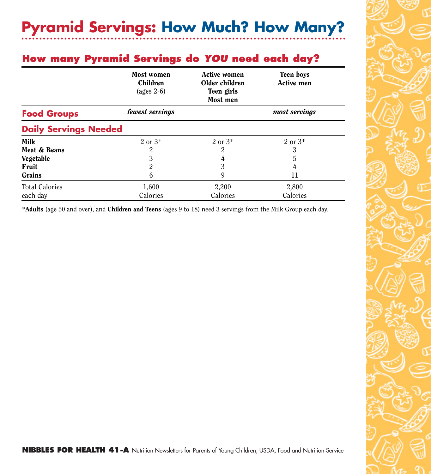## **How many Pyramid Servings do** *YOU* **need each day?**

|                              | Most women<br><b>Children</b><br>(ages $2-6$ ) | <b>Active women</b><br>Older children<br>Teen girls<br>Most men | <b>Teen boys</b><br><b>Active men</b> |
|------------------------------|------------------------------------------------|-----------------------------------------------------------------|---------------------------------------|
| <b>Food Groups</b>           | fewest servings                                |                                                                 | most servings                         |
| <b>Daily Servings Needed</b> |                                                |                                                                 |                                       |
| <b>Milk</b>                  | $2 \text{ or } 3^*$                            | $2 \text{ or } 3^*$                                             | $2 \text{ or } 3^*$                   |
| Meat & Beans                 | 2                                              | $\overline{2}$                                                  | 3                                     |
| Vegetable                    | 3                                              | 4                                                               | 5                                     |
| Fruit                        | $\overline{2}$                                 | 3                                                               | 4                                     |
| Grains                       | 6                                              | 9                                                               | 11                                    |
| <b>Total Calories</b>        | 1,600                                          | 2,200                                                           | 2,800                                 |
| each day                     | Calories                                       | Calories                                                        | Calories                              |

\*Adults (age 50 and over), and Children and Teens (ages 9 to 18) need 3 servings from the Milk Group each day.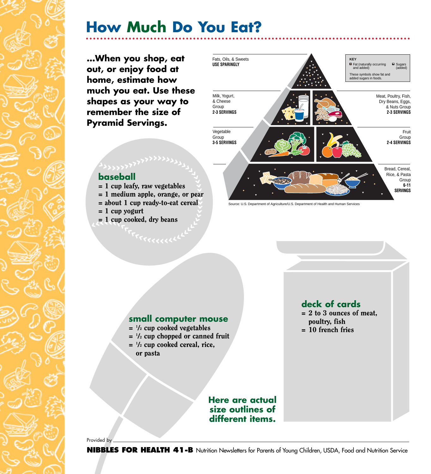# **How Much Do You Eat?**

**…When you shop, eat out, or enjoy food at home, estimate how much you eat. Use these shapes as your way to remember the size of Pyramid Servings.**



### **baseball**

- = 1 cup leafy, raw vegetables
- = 1 medium apple, orange, or pear
- $=$  about 1 cup ready-to-eat cereal
- $= 1$  cup yogurt
- = 1 cup cooked, dry beans



#### **small computer mouse**

- $=$   $\frac{1}{2}$  cup cooked vegetables
- $=$   $\frac{1}{2}$  cup chopped or canned fruit
- $=$   $\frac{1}{2}$  cup cooked cereal, rice,
- or pasta

**deck of cards** 

- $= 2$  to 3 ounces of meat, poultry, fish
- = 10 french fries

**Here are actual size outlines of different items.**

Provided by